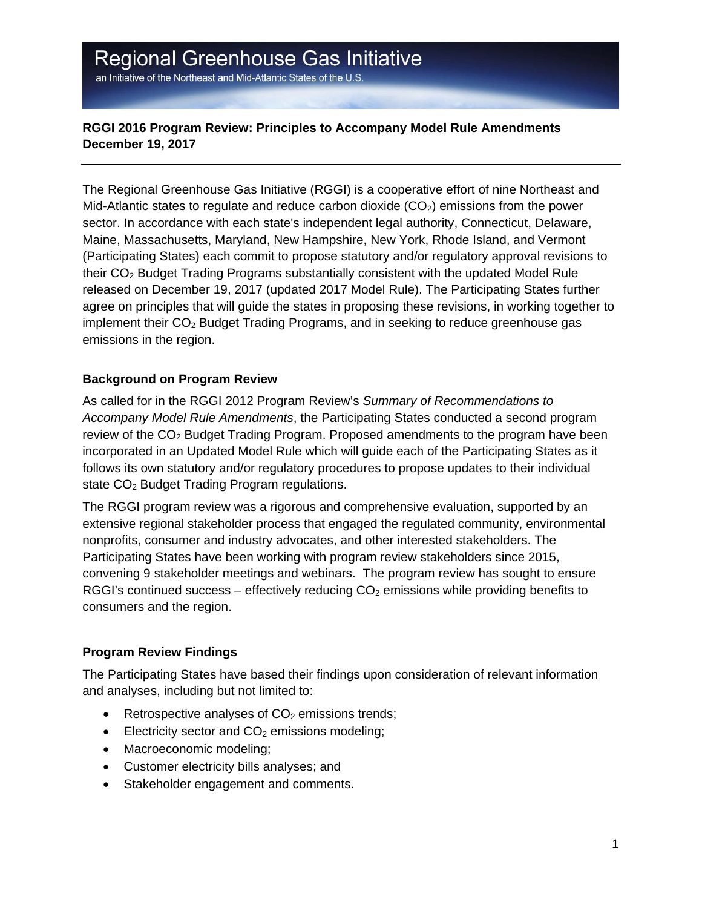# Regional Greenhouse Gas Initiative

an Initiative of the Northeast and Mid-Atlantic States of the U.S.

### **RGGI 2016 Program Review: Principles to Accompany Model Rule Amendments December 19, 2017**

The Regional Greenhouse Gas Initiative (RGGI) is a cooperative effort of nine Northeast and Mid-Atlantic states to regulate and reduce carbon dioxide  $(CO<sub>2</sub>)$  emissions from the power sector. In accordance with each state's independent legal authority, Connecticut, Delaware, Maine, Massachusetts, Maryland, New Hampshire, New York, Rhode Island, and Vermont (Participating States) each commit to propose statutory and/or regulatory approval revisions to their CO2 Budget Trading Programs substantially consistent with the updated Model Rule released on December 19, 2017 (updated 2017 Model Rule). The Participating States further agree on principles that will guide the states in proposing these revisions, in working together to implement their  $CO<sub>2</sub>$  Budget Trading Programs, and in seeking to reduce greenhouse gas emissions in the region.

#### **Background on Program Review**

As called for in the RGGI 2012 Program Review's *Summary of Recommendations to Accompany Model Rule Amendments*, the Participating States conducted a second program review of the CO<sub>2</sub> Budget Trading Program. Proposed amendments to the program have been incorporated in an Updated Model Rule which will guide each of the Participating States as it follows its own statutory and/or regulatory procedures to propose updates to their individual state CO<sub>2</sub> Budget Trading Program regulations.

The RGGI program review was a rigorous and comprehensive evaluation, supported by an extensive regional stakeholder process that engaged the regulated community, environmental nonprofits, consumer and industry advocates, and other interested stakeholders. The Participating States have been working with program review stakeholders since 2015, convening 9 stakeholder meetings and webinars. The program review has sought to ensure RGGI's continued success – effectively reducing  $CO<sub>2</sub>$  emissions while providing benefits to consumers and the region.

### **Program Review Findings**

The Participating States have based their findings upon consideration of relevant information and analyses, including but not limited to:

- Exercise CO<sub>2</sub> emissions trends;
- Electricity sector and  $CO<sub>2</sub>$  emissions modeling;
- Macroeconomic modeling;
- Customer electricity bills analyses; and
- Stakeholder engagement and comments.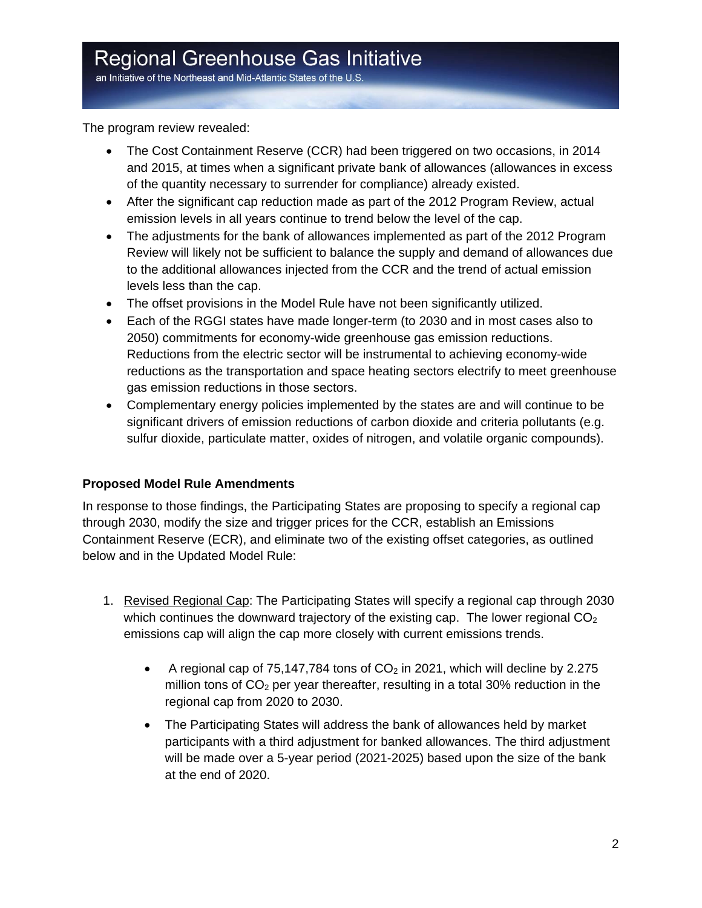an Initiative of the Northeast and Mid-Atlantic States of the U.S.

The program review revealed:

- The Cost Containment Reserve (CCR) had been triggered on two occasions, in 2014 and 2015, at times when a significant private bank of allowances (allowances in excess of the quantity necessary to surrender for compliance) already existed.
- After the significant cap reduction made as part of the 2012 Program Review, actual emission levels in all years continue to trend below the level of the cap.
- The adjustments for the bank of allowances implemented as part of the 2012 Program Review will likely not be sufficient to balance the supply and demand of allowances due to the additional allowances injected from the CCR and the trend of actual emission levels less than the cap.
- The offset provisions in the Model Rule have not been significantly utilized.
- Each of the RGGI states have made longer-term (to 2030 and in most cases also to 2050) commitments for economy-wide greenhouse gas emission reductions. Reductions from the electric sector will be instrumental to achieving economy-wide reductions as the transportation and space heating sectors electrify to meet greenhouse gas emission reductions in those sectors.
- Complementary energy policies implemented by the states are and will continue to be significant drivers of emission reductions of carbon dioxide and criteria pollutants (e.g. sulfur dioxide, particulate matter, oxides of nitrogen, and volatile organic compounds).

### **Proposed Model Rule Amendments**

In response to those findings, the Participating States are proposing to specify a regional cap through 2030, modify the size and trigger prices for the CCR, establish an Emissions Containment Reserve (ECR), and eliminate two of the existing offset categories, as outlined below and in the Updated Model Rule:

- 1. Revised Regional Cap: The Participating States will specify a regional cap through 2030 which continues the downward trajectory of the existing cap. The lower regional  $CO<sub>2</sub>$ emissions cap will align the cap more closely with current emissions trends.
	- A regional cap of 75,147,784 tons of  $CO<sub>2</sub>$  in 2021, which will decline by 2.275 million tons of  $CO<sub>2</sub>$  per year thereafter, resulting in a total 30% reduction in the regional cap from 2020 to 2030.
	- The Participating States will address the bank of allowances held by market participants with a third adjustment for banked allowances. The third adjustment will be made over a 5-year period (2021-2025) based upon the size of the bank at the end of 2020.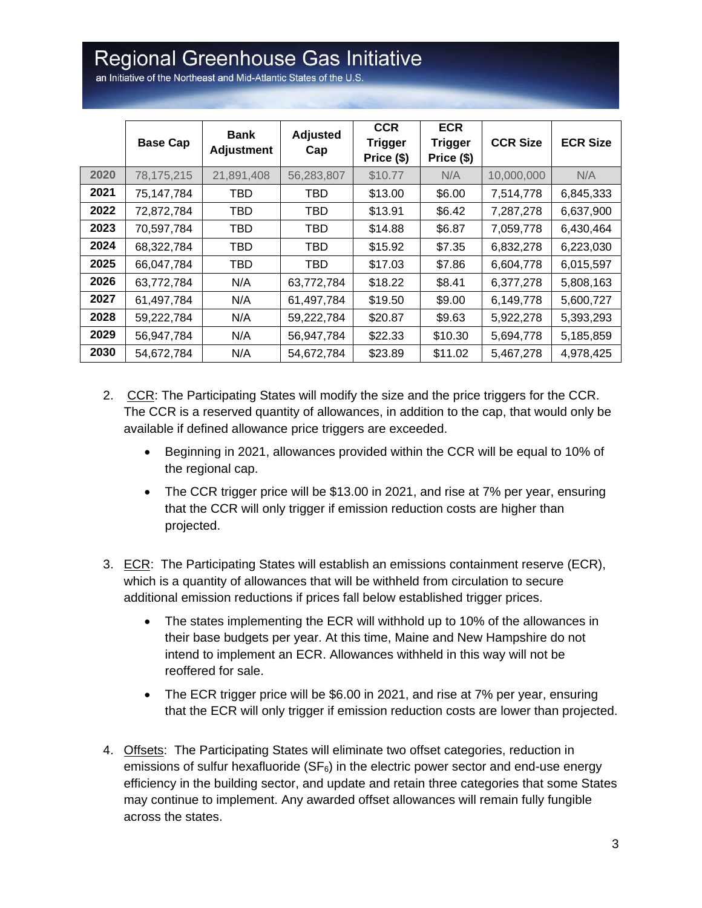# Regional Greenhouse Gas Initiative

an Initiative of the Northeast and Mid-Atlantic States of the U.S.

|      | <b>Base Cap</b> | <b>Bank</b><br><b>Adjustment</b> | <b>Adjusted</b><br>Cap | <b>CCR</b><br><b>Trigger</b><br>Price (\$) | <b>ECR</b><br><b>Trigger</b><br>Price (\$) | <b>CCR Size</b> | <b>ECR Size</b> |
|------|-----------------|----------------------------------|------------------------|--------------------------------------------|--------------------------------------------|-----------------|-----------------|
| 2020 | 78,175,215      | 21,891,408                       | 56,283,807             | \$10.77                                    | N/A                                        | 10,000,000      | N/A             |
| 2021 | 75,147,784      | TBD                              | TBD                    | \$13.00                                    | \$6.00                                     | 7,514,778       | 6,845,333       |
| 2022 | 72,872,784      | TBD                              | TBD                    | \$13.91                                    | \$6.42                                     | 7,287,278       | 6,637,900       |
| 2023 | 70,597,784      | TBD                              | TBD                    | \$14.88                                    | \$6.87                                     | 7,059,778       | 6,430,464       |
| 2024 | 68,322,784      | TBD                              | <b>TBD</b>             | \$15.92                                    | \$7.35                                     | 6,832,278       | 6,223,030       |
| 2025 | 66,047,784      | TBD                              | TBD                    | \$17.03                                    | \$7.86                                     | 6,604,778       | 6,015,597       |
| 2026 | 63,772,784      | N/A                              | 63,772,784             | \$18.22                                    | \$8.41                                     | 6,377,278       | 5,808,163       |
| 2027 | 61,497,784      | N/A                              | 61,497,784             | \$19.50                                    | \$9.00                                     | 6,149,778       | 5,600,727       |
| 2028 | 59,222,784      | N/A                              | 59,222,784             | \$20.87                                    | \$9.63                                     | 5,922,278       | 5,393,293       |
| 2029 | 56,947,784      | N/A                              | 56,947,784             | \$22.33                                    | \$10.30                                    | 5,694,778       | 5,185,859       |
| 2030 | 54,672,784      | N/A                              | 54,672,784             | \$23.89                                    | \$11.02                                    | 5,467,278       | 4,978,425       |

- 2. CCR: The Participating States will modify the size and the price triggers for the CCR. The CCR is a reserved quantity of allowances, in addition to the cap, that would only be available if defined allowance price triggers are exceeded.
	- Beginning in 2021, allowances provided within the CCR will be equal to 10% of the regional cap.
	- The CCR trigger price will be \$13.00 in 2021, and rise at 7% per year, ensuring that the CCR will only trigger if emission reduction costs are higher than projected.
- 3. ECR: The Participating States will establish an emissions containment reserve (ECR), which is a quantity of allowances that will be withheld from circulation to secure additional emission reductions if prices fall below established trigger prices.
	- The states implementing the ECR will withhold up to 10% of the allowances in their base budgets per year. At this time, Maine and New Hampshire do not intend to implement an ECR. Allowances withheld in this way will not be reoffered for sale.
	- The ECR trigger price will be \$6.00 in 2021, and rise at 7% per year, ensuring that the ECR will only trigger if emission reduction costs are lower than projected.
- 4. Offsets: The Participating States will eliminate two offset categories, reduction in emissions of sulfur hexafluoride ( $SF<sub>6</sub>$ ) in the electric power sector and end-use energy efficiency in the building sector, and update and retain three categories that some States may continue to implement. Any awarded offset allowances will remain fully fungible across the states.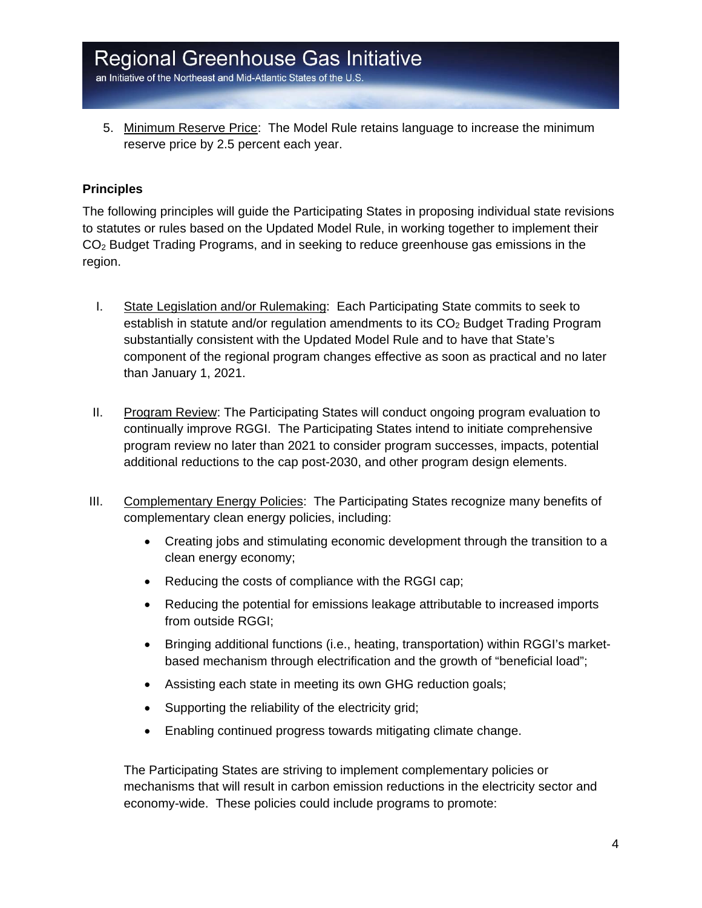an Initiative of the Northeast and Mid-Atlantic States of the U.S.

5. Minimum Reserve Price: The Model Rule retains language to increase the minimum reserve price by 2.5 percent each year.

#### **Principles**

The following principles will guide the Participating States in proposing individual state revisions to statutes or rules based on the Updated Model Rule, in working together to implement their CO2 Budget Trading Programs, and in seeking to reduce greenhouse gas emissions in the region.

- I. State Legislation and/or Rulemaking: Each Participating State commits to seek to establish in statute and/or regulation amendments to its  $CO<sub>2</sub>$  Budget Trading Program substantially consistent with the Updated Model Rule and to have that State's component of the regional program changes effective as soon as practical and no later than January 1, 2021.
- II. Program Review: The Participating States will conduct ongoing program evaluation to continually improve RGGI. The Participating States intend to initiate comprehensive program review no later than 2021 to consider program successes, impacts, potential additional reductions to the cap post-2030, and other program design elements.
- III. Complementary Energy Policies: The Participating States recognize many benefits of complementary clean energy policies, including:
	- Creating jobs and stimulating economic development through the transition to a clean energy economy;
	- Reducing the costs of compliance with the RGGI cap;
	- Reducing the potential for emissions leakage attributable to increased imports from outside RGGI;
	- Bringing additional functions (i.e., heating, transportation) within RGGI's marketbased mechanism through electrification and the growth of "beneficial load";
	- Assisting each state in meeting its own GHG reduction goals;
	- Supporting the reliability of the electricity grid;
	- Enabling continued progress towards mitigating climate change.

The Participating States are striving to implement complementary policies or mechanisms that will result in carbon emission reductions in the electricity sector and economy-wide. These policies could include programs to promote: